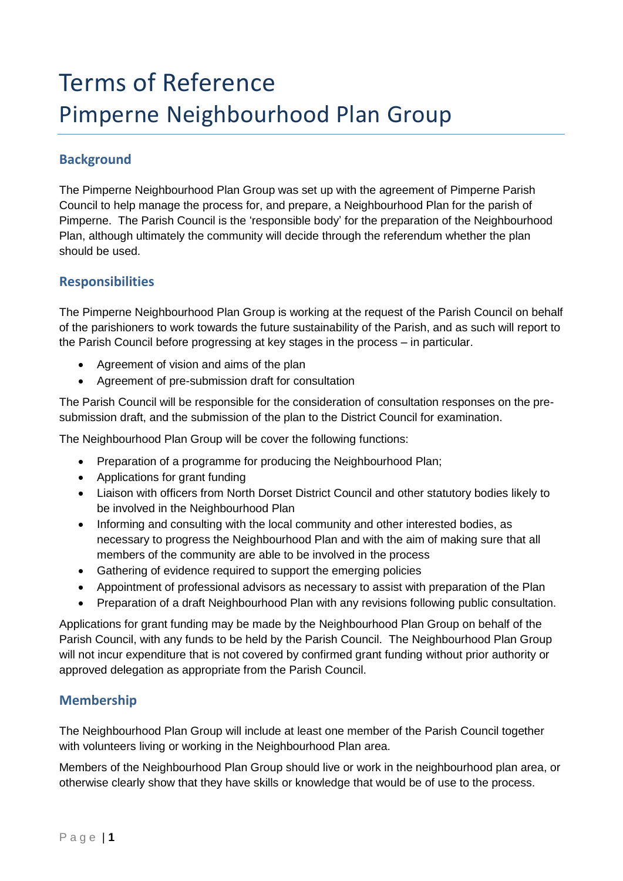# Terms of Reference Pimperne Neighbourhood Plan Group

## **Background**

The Pimperne Neighbourhood Plan Group was set up with the agreement of Pimperne Parish Council to help manage the process for, and prepare, a Neighbourhood Plan for the parish of Pimperne. The Parish Council is the 'responsible body' for the preparation of the Neighbourhood Plan, although ultimately the community will decide through the referendum whether the plan should be used.

### **Responsibilities**

The Pimperne Neighbourhood Plan Group is working at the request of the Parish Council on behalf of the parishioners to work towards the future sustainability of the Parish, and as such will report to the Parish Council before progressing at key stages in the process – in particular.

- Agreement of vision and aims of the plan
- Agreement of pre-submission draft for consultation

The Parish Council will be responsible for the consideration of consultation responses on the presubmission draft, and the submission of the plan to the District Council for examination.

The Neighbourhood Plan Group will be cover the following functions:

- Preparation of a programme for producing the Neighbourhood Plan;
- Applications for grant funding
- Liaison with officers from North Dorset District Council and other statutory bodies likely to be involved in the Neighbourhood Plan
- Informing and consulting with the local community and other interested bodies, as necessary to progress the Neighbourhood Plan and with the aim of making sure that all members of the community are able to be involved in the process
- Gathering of evidence required to support the emerging policies
- Appointment of professional advisors as necessary to assist with preparation of the Plan
- Preparation of a draft Neighbourhood Plan with any revisions following public consultation.

Applications for grant funding may be made by the Neighbourhood Plan Group on behalf of the Parish Council, with any funds to be held by the Parish Council. The Neighbourhood Plan Group will not incur expenditure that is not covered by confirmed grant funding without prior authority or approved delegation as appropriate from the Parish Council.

### **Membership**

The Neighbourhood Plan Group will include at least one member of the Parish Council together with volunteers living or working in the Neighbourhood Plan area.

Members of the Neighbourhood Plan Group should live or work in the neighbourhood plan area, or otherwise clearly show that they have skills or knowledge that would be of use to the process.